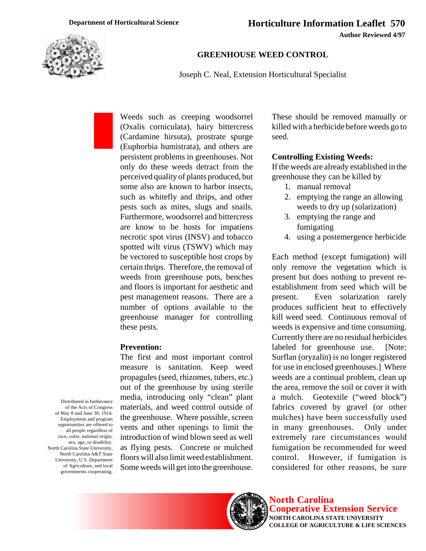

# **GREENHOUSE WEED CONTROL**

Joseph C. Neal, Extension Horticultural Specialist

Weeds such as creeping woodsorrel (Oxalis corniculata), hairy bittercress (Cardamine hirsuta), prostrate spurge (Euphorbia humistrata), and others are persistent problems in greenhouses. Not only do these weeds detract from the perceived quality of plants produced, but some also are known to harbor insects, such as whitefly and thrips, and other pests such as mites, slugs and snails. Furthermore, woodsorrel and bittercress are know to be hosts for impatiens necrotic spot virus (INSV) and tobacco spotted wilt virus (TSWV) which may be vectored to susceptible host crops by certain thrips. Therefore, the removal of weeds from greenhouse pots, benches and floors is important for aesthetic and pest management reasons. There are a number of options available to the greenhouse manager for controlling these pests.

### **Prevention:**

The first and most important control measure is sanitation. Keep weed propagules (seed, rhizomes, tubers, etc.) out of the greenhouse by using sterile media, introducing only "clean" plant materials, and weed control outside of the greenhouse. Where possible, screen vents and other openings to limit the introduction of wind blown seed as well as flying pests. Concrete or mulched floors will also limit weed establishment. Some weeds will get into the greenhouse.

These should be removed manually or killed with a herbicide before weeds go to seed.

### **Controlling Existing Weeds:**

If the weeds are already established in the greenhouse they can be killed by

- 1. manual removal
- 2. emptying the range an allowing weeds to dry up (solarization)
- 3. emptying the range and fumigating
- 4. using a postemergence herbicide

Each method (except fumigation) will only remove the vegetation which is present but does nothing to prevent reestablishment from seed which will be present. Even solarization rarely produces sufficient heat to effectively kill weed seed. Continuous removal of weeds is expensive and time consuming. Currently there are no residual herbicides labeled for greenhouse use. [Note: Surflan (oryzalin) is no longer registered for use in enclosed greenhouses.] Where weeds are a continual problem, clean up the area, remove the soil or cover it with a mulch. Geotextile ("weed block") fabrics covered by gravel (or other mulches) have been successfully used in many greenhouses. Only under extremely rare circumstances would fumigation be recommended for weed control. However, if fumigation is considered for other reasons, be sure

Distributed in furtherance of the Acts of Congress of May 8 and June 30, 1914. Employment and program opportunities are offered to all people regardless of race, color, national origin, sex, age, or disability. North Carolina State University, North Carolina A&T State University, U.S. Department of Agriculture, and local governments cooperating.

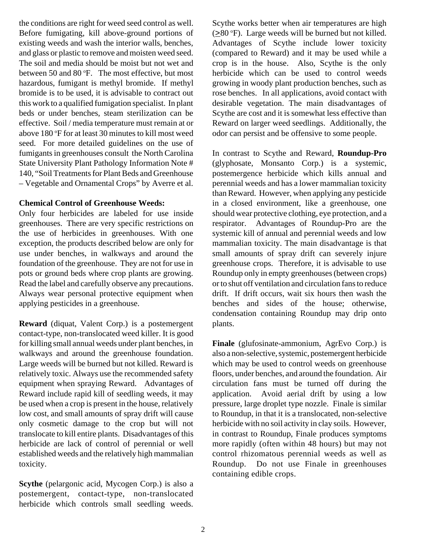the conditions are right for weed seed control as well. Before fumigating, kill above-ground portions of existing weeds and wash the interior walls, benches, and glass or plastic to remove and moisten weed seed. The soil and media should be moist but not wet and between 50 and 80 $\degree$ F. The most effective, but most hazardous, fumigant is methyl bromide. If methyl bromide is to be used, it is advisable to contract out this work to a qualified fumigation specialist. In plant beds or under benches, steam sterilization can be effective. Soil / media temperature must remain at or above 180 °F for at least 30 minutes to kill most weed seed. For more detailed guidelines on the use of fumigants in greenhouses consult the North Carolina State University Plant Pathology Information Note # 140, "Soil Treatments for Plant Beds and Greenhouse – Vegetable and Ornamental Crops" by Averre et al.

# **Chemical Control of Greenhouse Weeds:**

Only four herbicides are labeled for use inside greenhouses. There are very specific restrictions on the use of herbicides in greenhouses. With one exception, the products described below are only for use under benches, in walkways and around the foundation of the greenhouse. They are not for use in pots or ground beds where crop plants are growing. Read the label and carefully observe any precautions. Always wear personal protective equipment when applying pesticides in a greenhouse.

**Reward** (diquat, Valent Corp.) is a postemergent contact-type, non-translocated weed killer. It is good for killing small annual weeds under plant benches, in walkways and around the greenhouse foundation. Large weeds will be burned but not killed. Reward is relatively toxic. Always use the recommended safety equipment when spraying Reward. Advantages of Reward include rapid kill of seedling weeds, it may be used when a crop is present in the house, relatively low cost, and small amounts of spray drift will cause only cosmetic damage to the crop but will not translocate to kill entire plants. Disadvantages of this herbicide are lack of control of perennial or well established weeds and the relatively high mammalian toxicity.

**Scythe** (pelargonic acid, Mycogen Corp.) is also a postemergent, contact-type, non-translocated herbicide which controls small seedling weeds.

Scythe works better when air temperatures are high  $(\geq 80 \text{ °F})$ . Large weeds will be burned but not killed. Advantages of Scythe include lower toxicity (compared to Reward) and it may be used while a crop is in the house. Also, Scythe is the only herbicide which can be used to control weeds growing in woody plant production benches, such as rose benches. In all applications, avoid contact with desirable vegetation. The main disadvantages of Scythe are cost and it is somewhat less effective than Reward on larger weed seedlings. Additionally, the odor can persist and be offensive to some people.

In contrast to Scythe and Reward, **Roundup-Pro** (glyphosate, Monsanto Corp.) is a systemic, postemergence herbicide which kills annual and perennial weeds and has a lower mammalian toxicity than Reward. However, when applying any pesticide in a closed environment, like a greenhouse, one should wear protective clothing, eye protection, and a respirator. Advantages of Roundup-Pro are the systemic kill of annual and perennial weeds and low mammalian toxicity. The main disadvantage is that small amounts of spray drift can severely injure greenhouse crops. Therefore, it is advisable to use Roundup only in empty greenhouses (between crops) or to shut off ventilation and circulation fans to reduce drift. If drift occurs, wait six hours then wash the benches and sides of the house; otherwise, condensation containing Roundup may drip onto plants.

**Finale** (glufosinate-ammonium, AgrEvo Corp.) is also a non-selective, systemic, postemergent herbicide which may be used to control weeds on greenhouse floors, under benches, and around the foundation. Air circulation fans must be turned off during the application. Avoid aerial drift by using a low pressure, large droplet type nozzle. Finale is similar to Roundup, in that it is a translocated, non-selective herbicide with no soil activity in clay soils. However, in contrast to Roundup, Finale produces symptoms more rapidly (often within 48 hours) but may not control rhizomatous perennial weeds as well as Roundup. Do not use Finale in greenhouses containing edible crops.